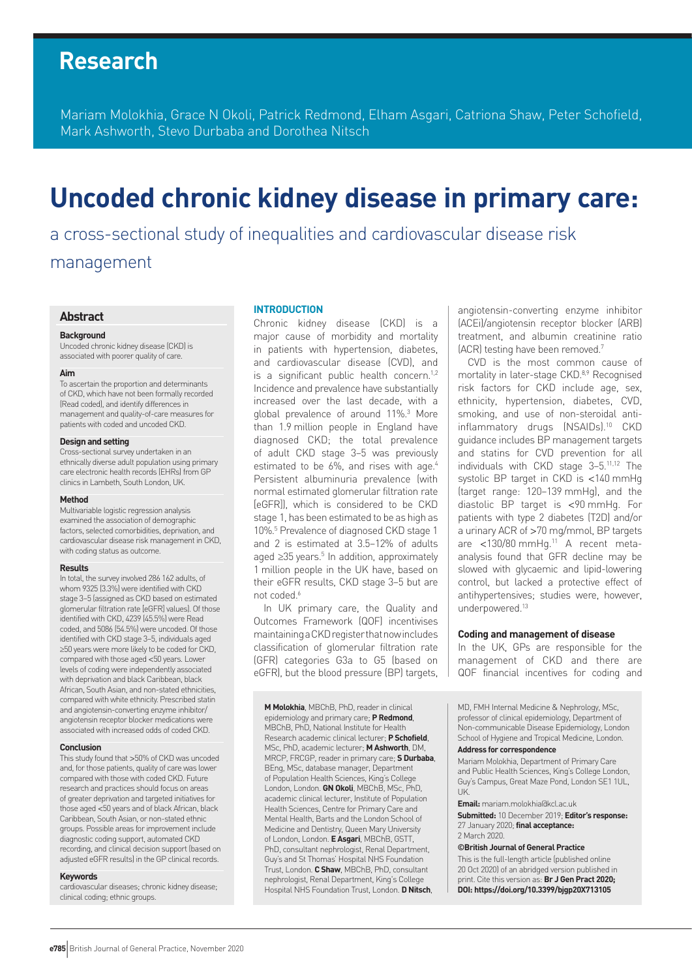## **Research**

Mariam Molokhia, Grace N Okoli, Patrick Redmond, Elham Asgari, Catriona Shaw, Peter Schofield, Mark Ashworth, Stevo Durbaba and Dorothea Nitsch

# **Uncoded chronic kidney disease in primary care:**

a cross-sectional study of inequalities and cardiovascular disease risk management

#### **Abstract**

#### **Background**

Uncoded chronic kidney disease (CKD) is associated with poorer quality of care.

#### **Aim**

To ascertain the proportion and determinants of CKD, which have not been formally recorded (Read coded), and identify differences in management and quality-of-care measures for patients with coded and uncoded CKD.

#### **Design and setting**

Cross-sectional survey undertaken in an ethnically diverse adult population using primary care electronic health records (EHRs) from GP clinics in Lambeth, South London, UK.

#### **Method**

Multivariable logistic regression analysis examined the association of demographic factors, selected comorbidities, deprivation, and cardiovascular disease risk management in CKD, with coding status as outcome.

#### **Results**

In total, the survey involved 286 162 adults, of whom 9325 (3.3%) were identified with CKD stage 3–5 (assigned as CKD based on estimated glomerular filtration rate [eGFR] values). Of those identified with CKD, 4239 (45.5%) were Read coded, and 5086 (54.5%) were uncoded. Of those identified with CKD stage 3–5, individuals aged ≥50 years were more likely to be coded for CKD, compared with those aged <50 years. Lower levels of coding were independently associated with deprivation and black Caribbean, black African, South Asian, and non-stated ethnicities, compared with white ethnicity. Prescribed statin and angiotensin-converting enzyme inhibitor/ angiotensin receptor blocker medications were associated with increased odds of coded CKD.

#### **Conclusion**

This study found that >50% of CKD was uncoded and, for those patients, quality of care was lower compared with those with coded CKD. Future research and practices should focus on areas of greater deprivation and targeted initiatives for those aged <50 years and of black African, black Caribbean, South Asian, or non-stated ethnic groups. Possible areas for improvement include diagnostic coding support, automated CKD recording, and clinical decision support (based on adjusted eGFR results) in the GP clinical records.

#### **Keywords**

cardiovascular diseases; chronic kidney disease; clinical coding; ethnic groups.

#### **INTRODUCTION**

Chronic kidney disease (CKD) is a major cause of morbidity and mortality in patients with hypertension, diabetes, and cardiovascular disease (CVD), and is a significant public health concern.<sup>1,2</sup> Incidence and prevalence have substantially increased over the last decade, with a global prevalence of around 11%.3 More than 1.9 million people in England have diagnosed CKD; the total prevalence of adult CKD stage 3–5 was previously estimated to be 6%, and rises with age.<sup>4</sup> Persistent albuminuria prevalence (with normal estimated glomerular filtration rate [eGFR]), which is considered to be CKD stage 1, has been estimated to be as high as 10%.5 Prevalence of diagnosed CKD stage 1 and 2 is estimated at 3.5–12% of adults aged ≥35 years.<sup>5</sup> In addition, approximately 1 million people in the UK have, based on their eGFR results, CKD stage 3–5 but are not coded<sup>6</sup>

In UK primary care, the Quality and Outcomes Framework (QOF) incentivises maintaining a CKD register that now includes classification of glomerular filtration rate (GFR) categories G3a to G5 (based on eGFR), but the blood pressure (BP) targets,

**M Molokhia**, MBChB, PhD, reader in clinical epidemiology and primary care; **P Redmond**, MBChB, PhD, National Institute for Health Research academic clinical lecturer; **P Schofield**, MSc, PhD, academic lecturer; **M Ashworth**, DM, MRCP, FRCGP, reader in primary care; **S Durbaba**, BEng, MSc, database manager, Department of Population Health Sciences, King's College London, London. **GN Okoli**, MBChB, MSc, PhD, academic clinical lecturer, Institute of Population Health Sciences, Centre for Primary Care and Mental Health, Barts and the London School of Medicine and Dentistry, Queen Mary University of London, London. **E Asgari**, MBChB, GSTT, PhD, consultant nephrologist, Renal Department, Guy's and St Thomas' Hospital NHS Foundation Trust, London. **C Shaw**, MBChB, PhD, consultant nephrologist, Renal Department, King's College Hospital NHS Foundation Trust, London. **D Nitsch**,

angiotensin-converting enzyme inhibitor (ACEi)/angiotensin receptor blocker (ARB) treatment, and albumin creatinine ratio (ACR) testing have been removed.7

CVD is the most common cause of mortality in later-stage CKD.<sup>8,9</sup> Recognised risk factors for CKD include age, sex, ethnicity, hypertension, diabetes, CVD, smoking, and use of non-steroidal antiinflammatory drugs (NSAIDs).10 CKD guidance includes BP management targets and statins for CVD prevention for all individuals with CKD stage 3–5.11,12 The systolic BP target in CKD is <140 mmHg (target range: 120–139 mmHg), and the diastolic BP target is <90 mmHg. For patients with type 2 diabetes (T2D) and/or a urinary ACR of >70 mg/mmol, BP targets are <130/80 mmHq.<sup>11</sup> A recent metaanalysis found that GFR decline may be slowed with glycaemic and lipid-lowering control, but lacked a protective effect of antihypertensives; studies were, however, underpowered.13

#### **Coding and management of disease**

In the UK, GPs are responsible for the management of CKD and there are QOF financial incentives for coding and

MD, FMH Internal Medicine & Nephrology, MSc, professor of clinical epidemiology, Department of Non-communicable Disease Epidemiology, London School of Hygiene and Tropical Medicine, London. **Address for correspondence**

Mariam Molokhia, Department of Primary Care and Public Health Sciences, King's College London, Guy's Campus, Great Maze Pond, London SE1 1UL, UK.

**Email:** mariam.molokhia@kcl.ac.uk

**Submitted:** 10 December 2019; **Editor's response:** 27 January 2020; **final acceptance:**  2 March 2020.

#### **©British Journal of General Practice**

This is the full-length article (published online 20 Oct 2020) of an abridged version published in print. Cite this version as: **Br J Gen Pract 2020; DOI: https://doi.org/10.3399/bjgp20X713105**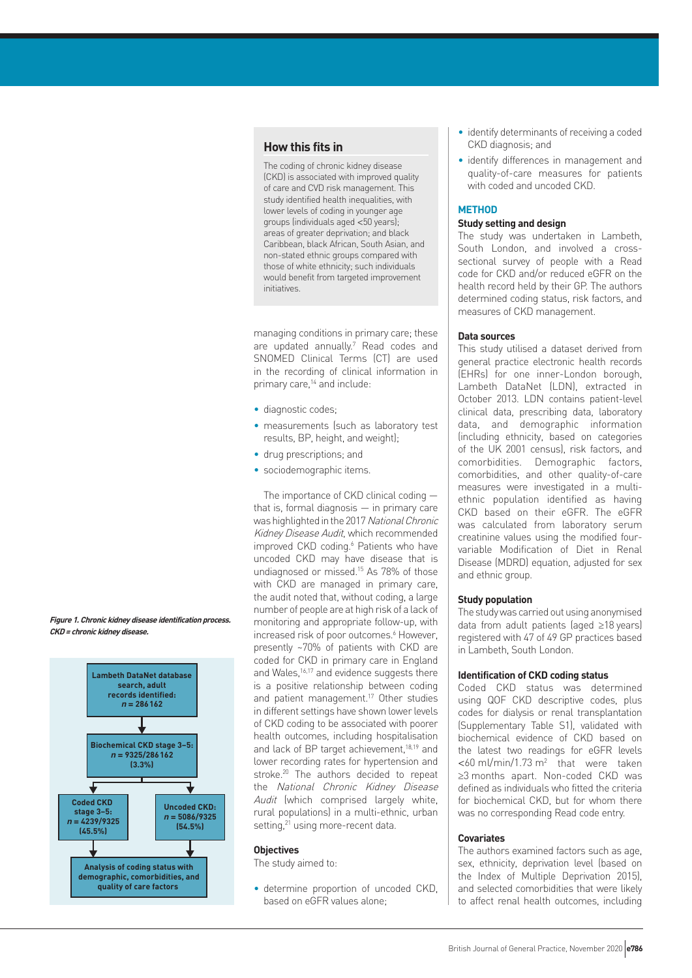## **How this fits in**

The coding of chronic kidney disease (CKD) is associated with improved quality of care and CVD risk management. This study identified health inequalities, with lower levels of coding in younger age groups (individuals aged <50 years); areas of greater deprivation; and black Caribbean, black African, South Asian, and non-stated ethnic groups compared with those of white ethnicity; such individuals would benefit from targeted improvement initiatives.

managing conditions in primary care; these are updated annually.<sup>7</sup> Read codes and SNOMED Clinical Terms (CT) are used in the recording of clinical information in primary care,<sup>14</sup> and include:

- diagnostic codes;
- measurements (such as laboratory test results, BP, height, and weight);
- drug prescriptions; and
- sociodemographic items.

The importance of CKD clinical coding that is, formal diagnosis  $-$  in primary care was highlighted in the 2017 National Chronic Kidney Disease Audit, which recommended improved CKD coding.<sup>6</sup> Patients who have uncoded CKD may have disease that is undiagnosed or missed.15 As 78% of those with CKD are managed in primary care, the audit noted that, without coding, a large number of people are at high risk of a lack of monitoring and appropriate follow-up, with increased risk of poor outcomes.<sup>6</sup> However, presently ~70% of patients with CKD are coded for CKD in primary care in England and Wales,<sup>16,17</sup> and evidence suggests there is a positive relationship between coding and patient management.17 Other studies in different settings have shown lower levels of CKD coding to be associated with poorer health outcomes, including hospitalisation and lack of BP target achievement,<sup>18,19</sup> and lower recording rates for hypertension and stroke.20 The authors decided to repeat the National Chronic Kidney Disease Audit (which comprised largely white, rural populations) in a multi-ethnic, urban setting,<sup>21</sup> using more-recent data.

#### **Objectives**

The study aimed to:

• determine proportion of uncoded CKD, based on eGFR values alone;

- identify determinants of receiving a coded CKD diagnosis; and
- identify differences in management and quality-of-care measures for patients with coded and uncoded CKD.

### **METHOD**

## **Study setting and design**

The study was undertaken in Lambeth, South London, and involved a crosssectional survey of people with a Read code for CKD and/or reduced eGFR on the health record held by their GP. The authors determined coding status, risk factors, and measures of CKD management.

#### **Data sources**

This study utilised a dataset derived from general practice electronic health records (EHRs) for one inner-London borough, Lambeth DataNet (LDN), extracted in October 2013. LDN contains patient-level clinical data, prescribing data, laboratory data, and demographic information (including ethnicity, based on categories of the UK 2001 census), risk factors, and comorbidities. Demographic factors, comorbidities, and other quality-of-care measures were investigated in a multiethnic population identified as having CKD based on their eGFR. The eGFR was calculated from laboratory serum creatinine values using the modified fourvariable Modification of Diet in Renal Disease (MDRD) equation, adjusted for sex and ethnic group.

#### **Study population**

The study was carried out using anonymised data from adult patients (aged ≥18 years) registered with 47 of 49 GP practices based in Lambeth, South London.

#### **Identification of CKD coding status**

Coded CKD status was determined using QOF CKD descriptive codes, plus codes for dialysis or renal transplantation (Supplementary Table S1), validated with biochemical evidence of CKD based on the latest two readings for eGFR levels  $<$  60 ml/min/1.73 m<sup>2</sup> that were taken ≥3 months apart. Non-coded CKD was defined as individuals who fitted the criteria for biochemical CKD, but for whom there was no corresponding Read code entry.

#### **Covariates**

The authors examined factors such as age, sex, ethnicity, deprivation level (based on the Index of Multiple Deprivation 2015), and selected comorbidities that were likely to affect renal health outcomes, including

**Figure 1. Chronic kidney disease identification process. CKD = chronic kidney disease.**

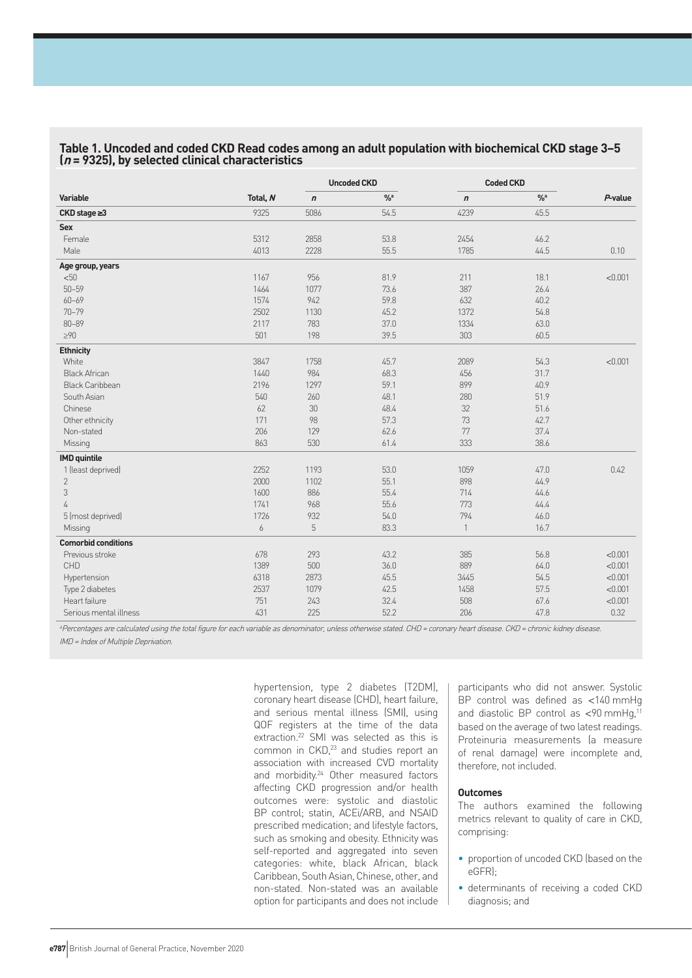|                            |          |            | <b>Uncoded CKD</b> |                  | <b>Coded CKD</b> |            |
|----------------------------|----------|------------|--------------------|------------------|------------------|------------|
| Variable                   | Total, N | $\sqrt{n}$ | $\frac{9}{9}$ a    | $\boldsymbol{n}$ | $\frac{9}{6}$ a  | $P$ -value |
| $CKD$ stage $\geq 3$       | 9325     | 5086       | 54.5               | 4239             | 45.5             |            |
| Sex                        |          |            |                    |                  |                  |            |
| Female                     | 5312     | 2858       | 53.8               | 2454             | 46.2             |            |
| Male                       | 4013     | 2228       | 55.5               | 1785             | 44.5             | 0.10       |
| Age group, years           |          |            |                    |                  |                  |            |
| < 50                       | 1167     | 956        | 81.9               | 211              | 18.1             | < 0.001    |
| $50 - 59$                  | 1464     | 1077       | 73.6               | 387              | 26.4             |            |
| $60 - 69$                  | 1574     | 942        | 59.8               | 632              | 40.2             |            |
| $70 - 79$                  | 2502     | 1130       | 45.2               | 1372             | 54.8             |            |
| $80 - 89$                  | 2117     | 783        | 37.0               | 1334             | 63.0             |            |
| $\geq 90$                  | 501      | 198        | 39.5               | 303              | 60.5             |            |
| <b>Ethnicity</b>           |          |            |                    |                  |                  |            |
| White                      | 3847     | 1758       | 45.7               | 2089             | 54.3             | < 0.001    |
| <b>Black African</b>       | 1440     | 984        | 68.3               | 456              | 31.7             |            |
| <b>Black Caribbean</b>     | 2196     | 1297       | 59.1               | 899              | 40.9             |            |
| South Asian                | 540      | 260        | 48.1               | 280              | 51.9             |            |
| Chinese                    | 62       | 30         | 48.4               | 32               | 51.6             |            |
| Other ethnicity            | 171      | 98         | 57.3               | 73               | 42.7             |            |
| Non-stated                 | 206      | 129        | 62.6               | 77               | 37.4             |            |
| Missing                    | 863      | 530        | 61.4               | 333              | 38.6             |            |
| <b>IMD</b> quintile        |          |            |                    |                  |                  |            |
| 1 (least deprived)         | 2252     | 1193       | 53.0               | 1059             | 47.0             | 0.42       |
| $\mathbf{2}$               | 2000     | 1102       | 55.1               | 898              | 44.9             |            |
| 3                          | 1600     | 886        | 55.4               | 714              | 44.6             |            |
| 4                          | 1741     | 968        | 55.6               | 773              | 44.4             |            |
| 5 (most deprived)          | 1726     | 932        | 54.0               | 794              | 46.0             |            |
| Missing                    | 6        | 5          | 83.3               | $\mathbf{1}$     | 16.7             |            |
| <b>Comorbid conditions</b> |          |            |                    |                  |                  |            |
| Previous stroke            | 678      | 293        | 43.2               | 385              | 56.8             | < 0.001    |
| CHD                        | 1389     | 500        | 36.0               | 889              | 64.0             | < 0.001    |
| Hypertension               | 6318     | 2873       | 45.5               | 3445             | 54.5             | < 0.001    |
| Type 2 diabetes            | 2537     | 1079       | 42.5               | 1458             | 57.5             | < 0.001    |
| Heart failure              | 751      | 243        | 32.4               | 508              | 67.6             | < 0.001    |
| Serious mental illness     | 431      | 225        | 52.2               | 206              | 47.8             | 0.32       |

## **Table 1. Uncoded and coded CKD Read codes among an adult population with biochemical CKD stage 3–5 (<sup>n</sup> = 9325), by selected clinical characteristics**

<sup>a</sup>Percentages are calculated using the total figure for each variable as denominator, unless otherwise stated. CHD <sup>=</sup> coronary heart disease. CKD <sup>=</sup> chronic kidney disease. IMD <sup>=</sup> Index of Multiple Deprivation.

hypertension, type 2 diabetes (T2DM), coronary heart disease (CHD), heart failure, and serious mental illness (SMI), using QOF registers at the time of the data extraction.22 SMI was selected as this is common in CKD,<sup>23</sup> and studies report an association with increased CVD mortality and morbidity.24 Other measured factors affecting CKD progression and/or health outcomes were: systolic and diastolic BP control; statin, ACEi/ARB, and NSAID prescribed medication; and lifestyle factors, such as smoking and obesity. Ethnicity was self-reported and aggregated into seven categories: white, black African, black Caribbean, South Asian, Chinese, other, and non-stated. Non-stated was an available option for participants and does not include

participants who did not answer. Systolic BP control was defined as <140 mmHg and diastolic BP control as  $\leq 90$  mmHq.<sup>11</sup> based on the average of two latest readings. Proteinuria measurements (a measure of renal damage) were incomplete and, therefore, not included.

#### **Outcomes**

The authors examined the following metrics relevant to quality of care in CKD, comprising:

- proportion of uncoded CKD (based on the eGFR);
- determinants of receiving a coded CKD diagnosis; and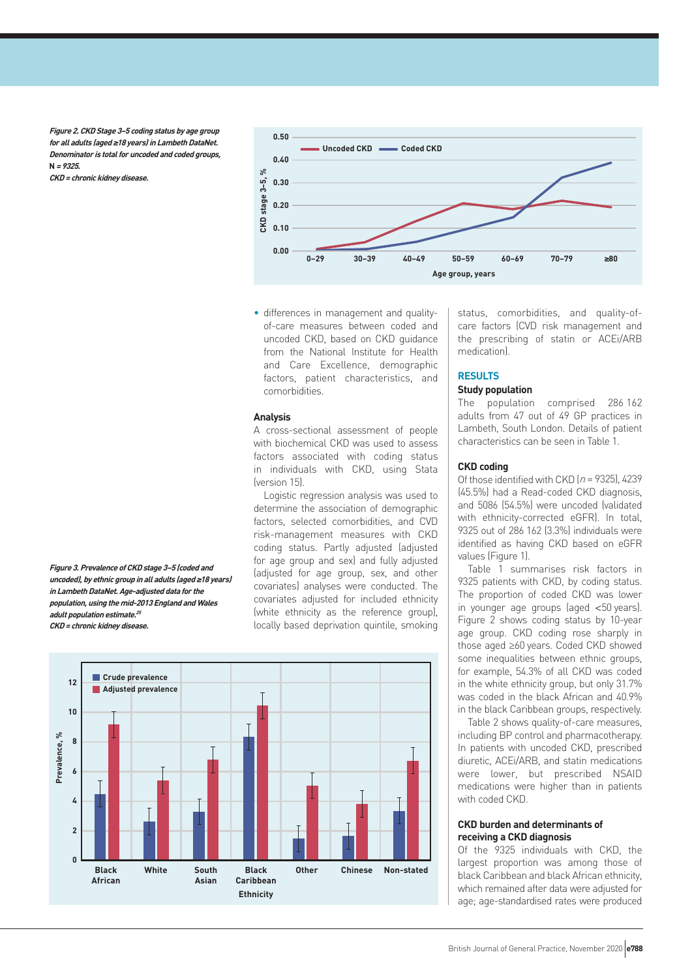**Figure 2. CKD Stage 3–5 coding status by age group for all adults (aged ≥18 years) in Lambeth DataNet. Denominator is total for uncoded and coded groups, N = 9325. CKD = chronic kidney disease.**



• differences in management and qualityof-care measures between coded and uncoded CKD, based on CKD guidance from the National Institute for Health and Care Excellence, demographic factors, patient characteristics, and comorbidities.

#### **Analysis**

A cross-sectional assessment of people with biochemical CKD was used to assess factors associated with coding status in individuals with CKD, using Stata (version 15).

Logistic regression analysis was used to determine the association of demographic factors, selected comorbidities, and CVD risk-management measures with CKD coding status. Partly adjusted (adjusted for age group and sex) and fully adjusted (adjusted for age group, sex, and other covariates) analyses were conducted. The covariates adjusted for included ethnicity (white ethnicity as the reference group), locally based deprivation quintile, smoking

**Black African 0 2 Prevalence,**  Prevalence, % **4 6 8 10 12 White South Asian Black Caribbean Other Ethnicity Chinese Crude prevalence Adjusted prevalence Non-stated** status, comorbidities, and quality-ofcare factors (CVD risk management and the prescribing of statin or ACEi/ARB medication).

### **RESULTS**

## **Study population**

The population comprised 286 162 adults from 47 out of 49 GP practices in Lambeth, South London. Details of patient characteristics can be seen in Table 1.

#### **CKD coding**

Of those identified with CKD  $(n = 9325)$ , 4239 (45.5%) had a Read-coded CKD diagnosis, and 5086 (54.5%) were uncoded (validated with ethnicity-corrected eGFR). In total, 9325 out of 286 162 (3.3%) individuals were identified as having CKD based on eGFR values (Figure 1).

Table 1 summarises risk factors in 9325 patients with CKD, by coding status. The proportion of coded CKD was lower in younger age groups (aged <50 years). Figure 2 shows coding status by 10-year age group. CKD coding rose sharply in those aged ≥60 years. Coded CKD showed some inequalities between ethnic groups. for example, 54.3% of all CKD was coded in the white ethnicity group, but only 31.7% was coded in the black African and 40.9% in the black Caribbean groups, respectively.

Table 2 shows quality-of-care measures, including BP control and pharmacotherapy. In patients with uncoded CKD, prescribed diuretic, ACEi/ARB, and statin medications were lower, but prescribed NSAID medications were higher than in patients with coded CKD.

#### **CKD burden and determinants of receiving a CKD diagnosis**

Of the 9325 individuals with CKD, the largest proportion was among those of black Caribbean and black African ethnicity, which remained after data were adjusted for age; age-standardised rates were produced

**Figure 3. Prevalence of CKD stage 3–5 (coded and uncoded), by ethnic group in all adults (aged ≥18 years) in Lambeth DataNet. Age-adjusted data for the population, using the mid-2013 England and Wales adult population estimate.<sup>25</sup> CKD = chronic kidney disease.**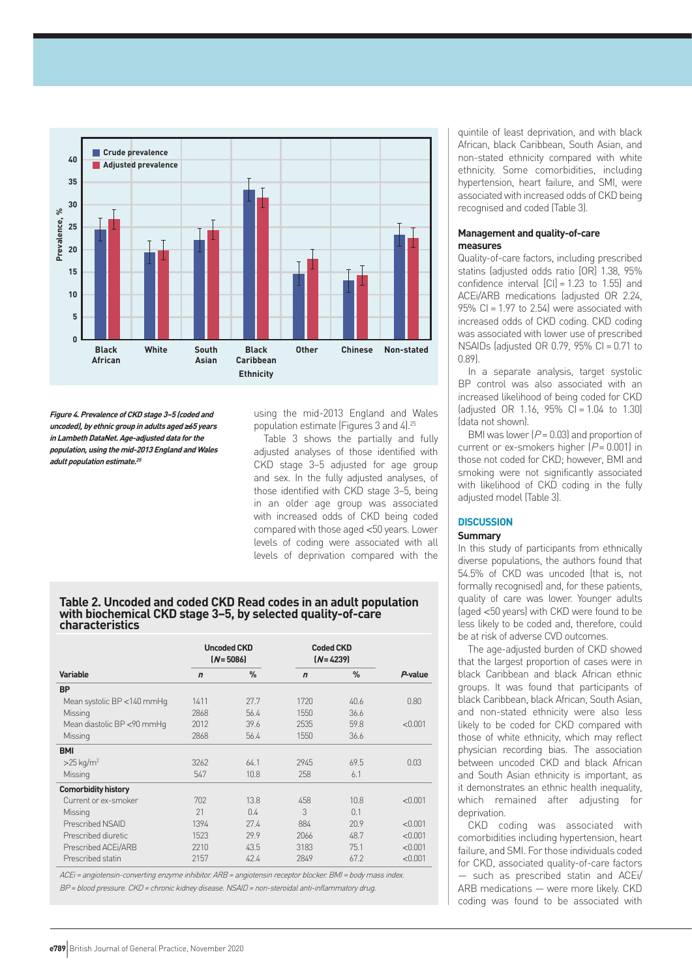

**Figure 4. Prevalence of CKD stage 3–5 (coded and uncoded), by ethnic group in adults aged ≥65 years in Lambeth DataNet. Age-adjusted data for the population, using the mid-2013 England and Wales adult population estimate.<sup>25</sup>**

using the mid-2013 England and Wales population estimate (Figures 3 and 4).25

Table 3 shows the partially and fully adjusted analyses of those identified with CKD stage 3–5 adjusted for age group and sex. In the fully adjusted analyses, of those identified with CKD stage 3–5, being in an older age group was associated with increased odds of CKD being coded compared with those aged <50 years. Lower levels of coding were associated with all levels of deprivation compared with the

#### **Table 2. Uncoded and coded CKD Read codes in an adult population with biochemical CKD stage 3–5, by selected quality-of-care characteristics**

|                            | <b>Uncoded CKD</b><br>$(N = 5086)$ |               | <b>Coded CKD</b><br>$[N=4239]$ |               |         |
|----------------------------|------------------------------------|---------------|--------------------------------|---------------|---------|
| <b>Variable</b>            | $\mathbf n$                        | $\frac{9}{6}$ | $\overline{r}$                 | $\frac{0}{n}$ | P-value |
| <b>BP</b>                  |                                    |               |                                |               |         |
| Mean systolic BP <140 mmHq | 1411                               | 27.7          | 1720                           | 40.6          | 0.80    |
| Missing                    | 2868                               | 56.4          | 1550                           | 36.6          |         |
| Mean diastolic BP <90 mmHg | 2012                               | 39.6          | 2535                           | 59.8          | < 0.001 |
| Missing                    | 2868                               | 56.4          | 1550                           | 36.6          |         |
| <b>BMI</b>                 |                                    |               |                                |               |         |
| $>25$ kg/m <sup>2</sup>    | 3262                               | 64.1          | 2945                           | 69.5          | 0.03    |
| Missing                    | 547                                | 10.8          | 258                            | 6.1           |         |
| <b>Comorbidity history</b> |                                    |               |                                |               |         |
| Current or ex-smoker       | 702                                | 13.8          | 458                            | 10.8          | < 0.001 |
| Missing                    | 21                                 | 0.4           | 3                              | 0.1           |         |
| Prescribed NSAID           | 1394                               | 27.4          | 884                            | 20.9          | < 0.001 |
| Prescribed diuretic        | 1523                               | 29.9          | 2066                           | 48.7          | < 0.001 |
| Prescribed ACEi/ARB        | 2210                               | 43.5          | 3183                           | 75.1          | < 0.001 |
| Prescribed statin          | 2157                               | 42.4          | 2849                           | 67.2          | < 0.001 |

ACEi <sup>=</sup> angiotensin-converting enzyme inhibitor. ARB <sup>=</sup> angiotensin receptor blocker. BMI <sup>=</sup> body mass index. BP <sup>=</sup> blood pressure. CKD <sup>=</sup> chronic kidney disease. NSAID <sup>=</sup> non-steroidal anti-inflammatory drug.

quintile of least deprivation, and with black African, black Caribbean, South Asian, and non-stated ethnicity compared with white ethnicity. Some comorbidities, including hypertension, heart failure, and SMI, were associated with increased odds of CKD being recognised and coded (Table 3).

#### **Management and quality-of-care measures**

Quality-of-care factors, including prescribed statins (adjusted odds ratio [OR] 1.38, 95% confidence interval  $\text{[C]} = 1.23$  to 1.55) and ACEi/ARB medications (adjusted OR 2.24, 95% CI = 1.97 to 2.54) were associated with increased odds of CKD coding. CKD coding was associated with lower use of prescribed NSAIDs (adjusted OR 0.79, 95% CI = 0.71 to 0.89).

In a separate analysis, target systolic BP control was also associated with an increased likelihood of being coded for CKD  $[adjusted \t{OR} 1.16, 95\% \t{Cl} = 1.04 \t{to} 1.30]$ (data not shown).

BMI was lower  $[P = 0.03]$  and proportion of current or ex-smokers higher  $[P = 0.001]$  in those not coded for CKD; however, BMI and smoking were not significantly associated with likelihood of CKD coding in the fully adjusted model (Table 3).

## **DISCUSSION**

## **Summary**

In this study of participants from ethnically diverse populations, the authors found that 54.5% of CKD was uncoded (that is, not formally recognised) and, for these patients, quality of care was lower. Younger adults (aged <50 years) with CKD were found to be less likely to be coded and, therefore, could be at risk of adverse CVD outcomes.

The age-adjusted burden of CKD showed that the largest proportion of cases were in black Caribbean and black African ethnic groups. It was found that participants of black Caribbean, black African, South Asian, and non-stated ethnicity were also less likely to be coded for CKD compared with those of white ethnicity, which may reflect physician recording bias. The association between uncoded CKD and black African and South Asian ethnicity is important, as it demonstrates an ethnic health inequality, which remained after adjusting for deprivation.

CKD coding was associated with comorbidities including hypertension, heart failure, and SMI. For those individuals coded for CKD, associated quality-of-care factors — such as prescribed statin and ACEi/ ARB medications — were more likely. CKD coding was found to be associated with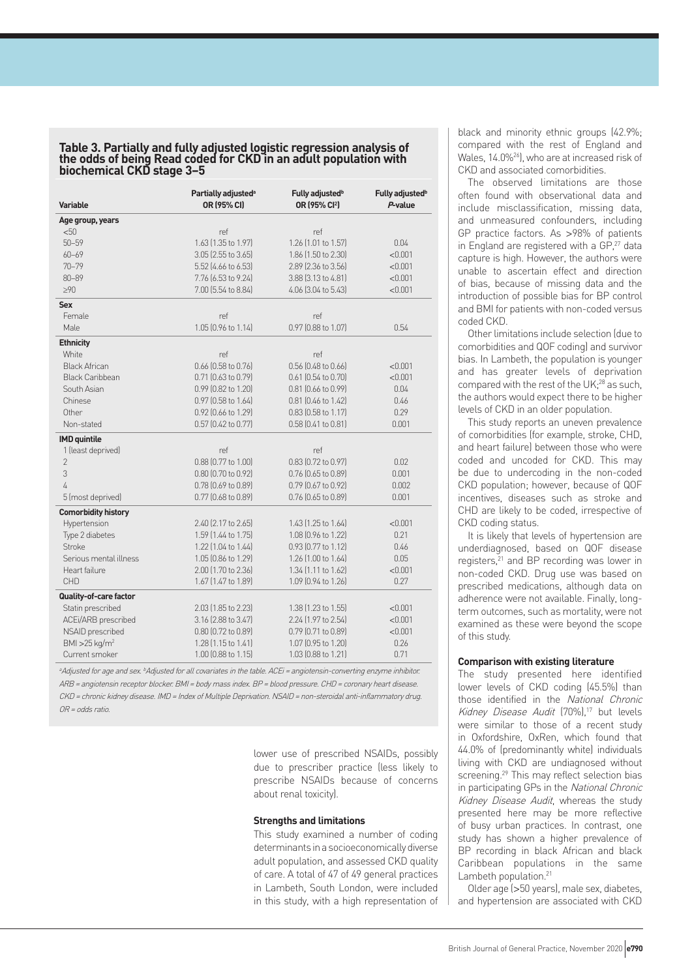#### **Table 3. Partially and fully adjusted logistic regression analysis of the odds of being Read coded for CKD in an adult population with biochemical CKD stage 3–5**

| <b>Variable</b>              | Partially adjusted <sup>a</sup><br>OR (95% CI) | Fully adjusted <sup>b</sup><br>OR (95% CI <sup>2</sup> ) | Fully adjusted <sup>b</sup><br>P-value |
|------------------------------|------------------------------------------------|----------------------------------------------------------|----------------------------------------|
| Age group, years             |                                                |                                                          |                                        |
| < 50                         | ref                                            | ref                                                      |                                        |
| $50 - 59$                    | 1.63 (1.35 to 1.97)                            | 1.26 [1.01 to 1.57]                                      | 0.04                                   |
| $60 - 69$                    | 3.05 (2.55 to 3.65)                            | 1.86 [1.50 to 2.30]                                      | < 0.001                                |
| $70 - 79$                    | 5.52 (4.66 to 6.53)                            | 2.89 (2.36 to 3.56)                                      | < 0.001                                |
| $80 - 89$                    | 7.76 (6.53 to 9.24)                            | 3.88 (3.13 to 4.81)                                      | < 0.001                                |
| $\geq 90$                    | 7.00 (5.54 to 8.84)                            | 4.06 (3.04 to 5.43)                                      | < 0.001                                |
| <b>Sex</b>                   |                                                |                                                          |                                        |
| Female                       | ref                                            | ref                                                      |                                        |
| Male                         | 1.05 (0.96 to 1.14)                            | 0.97 (0.88 to 1.07)                                      | 0.54                                   |
| <b>Ethnicity</b>             |                                                |                                                          |                                        |
| White                        | ref                                            | ref                                                      |                                        |
| <b>Black African</b>         | $0.66$ (0.58 to 0.76)                          | $0.56$ $[0.48$ to $0.66]$                                | < 0.001                                |
| <b>Black Caribbean</b>       | $0.71$ $[0.63$ to $0.79]$                      | $0.61$ $(0.54$ to $0.70)$                                | < 0.001                                |
| South Asian                  | 0.99 (0.82 to 1.20)                            | 0.81 (0.66 to 0.99)                                      | 0.04                                   |
| Chinese                      | 0.97 (0.58 to 1.64)                            | $0.81$ (0.46 to 1.42)                                    | 0.46                                   |
| Other                        | 0.92 (0.66 to 1.29)                            | $0.83$ (0.58 to 1.17)                                    | 0.29                                   |
| Non-stated                   | 0.57 (0.42 to 0.77)                            | 0.58 (0.41 to 0.81)                                      | 0.001                                  |
| <b>IMD</b> quintile          |                                                |                                                          |                                        |
| 1 (least deprived)           | ref                                            | ref                                                      |                                        |
| $\overline{2}$               | 0.88 (0.77 to 1.00)                            | 0.83 (0.72 to 0.97)                                      | 0.02                                   |
| 3                            | $0.80$ $(0.70$ to $0.92)$                      | $0.76$ $(0.65$ to $0.89)$                                | 0.001                                  |
| 4                            | 0.78 (0.69 to 0.89)                            | 0.79 (0.67 to 0.92)                                      | 0.002                                  |
| 5 (most deprived)            | 0.77 (0.68 to 0.89)                            | 0.76 (0.65 to 0.89)                                      | 0.001                                  |
| <b>Comorbidity history</b>   |                                                |                                                          |                                        |
| Hypertension                 | 2.40 (2.17 to 2.65)                            | 1.43 (1.25 to 1.64)                                      | < 0.001                                |
| Type 2 diabetes              | 1.59 (1.44 to 1.75)                            | 1.08 (0.96 to 1.22)                                      | 0.21                                   |
| <b>Stroke</b>                | 1.22 (1.04 to 1.44)                            | 0.93 (0.77 to 1.12)                                      | 0.46                                   |
| Serious mental illness       | 1.05 (0.86 to 1.29)                            | 1.26 (1.00 to 1.64)                                      | 0.05                                   |
| Heart failure                | 2.00 (1.70 to 2.36)                            | $1.34$ (1.11 to 1.62)                                    | < 0.001                                |
| <b>CHD</b>                   | 1.67 [1.47 to 1.89]                            | 1.09 (0.94 to 1.26)                                      | 0.27                                   |
| Quality-of-care factor       |                                                |                                                          |                                        |
| Statin prescribed            | 2.03 (1.85 to 2.23)                            | $1.38$ (1.23 to 1.55)                                    | < 0.001                                |
| ACEi/ARB prescribed          | 3.16 (2.88 to 3.47)                            | 2.24 [1.97 to 2.54]                                      | < 0.001                                |
| NSAID prescribed             | 0.80 (0.72 to 0.89)                            | $0.79$ $(0.71$ to $0.89)$                                | < 0.001                                |
| BMI > $25$ kg/m <sup>2</sup> | 1.28 (1.15 to 1.41)                            | 1.07 (0.95 to 1.20)                                      | 0.26                                   |
| Current smoker               | 1.00 (0.88 to 1.15)                            | 1.03 (0.88 to 1.21)                                      | 0.71                                   |

<sup>a</sup>Adjusted for age and sex. <sup>b</sup>Adjusted for all covariates in the table. ACEi = angiotensin-converting enzyme inhibitor. ARB <sup>=</sup> angiotensin receptor blocker. BMI <sup>=</sup> body mass index. BP <sup>=</sup> blood pressure. CHD <sup>=</sup> coronary heart disease. CKD <sup>=</sup> chronic kidney disease. IMD <sup>=</sup> Index of Multiple Deprivation. NSAID <sup>=</sup> non-steroidal anti-inflammatory drug. OR <sup>=</sup> odds ratio.

> lower use of prescribed NSAIDs, possibly due to prescriber practice (less likely to prescribe NSAIDs because of concerns about renal toxicity).

#### **Strengths and limitations**

This study examined a number of coding determinants in a socioeconomically diverse adult population, and assessed CKD quality of care. A total of 47 of 49 general practices in Lambeth, South London, were included in this study, with a high representation of black and minority ethnic groups (42.9%; compared with the rest of England and Wales, 14.0%<sup>26</sup>), who are at increased risk of CKD and associated comorbidities.

The observed limitations are those often found with observational data and include misclassification, missing data, and unmeasured confounders, including GP practice factors. As >98% of patients in England are registered with a GP,<sup>27</sup> data capture is high. However, the authors were unable to ascertain effect and direction of bias, because of missing data and the introduction of possible bias for BP control and BMI for patients with non-coded versus coded CKD.

Other limitations include selection (due to comorbidities and QOF coding) and survivor bias. In Lambeth, the population is younger and has greater levels of deprivation compared with the rest of the UK;<sup>28</sup> as such, the authors would expect there to be higher levels of CKD in an older population.

This study reports an uneven prevalence of comorbidities (for example, stroke, CHD, and heart failure) between those who were coded and uncoded for CKD. This may be due to undercoding in the non-coded CKD population; however, because of QOF incentives, diseases such as stroke and CHD are likely to be coded, irrespective of CKD coding status.

It is likely that levels of hypertension are underdiagnosed, based on QOF disease registers,<sup>21</sup> and BP recording was lower in non-coded CKD. Drug use was based on prescribed medications, although data on adherence were not available. Finally, longterm outcomes, such as mortality, were not examined as these were beyond the scope of this study.

#### **Comparison with existing literature**

The study presented here identified lower levels of CKD coding (45.5%) than those identified in the National Chronic Kidney Disease Audit (70%),<sup>17</sup> but levels were similar to those of a recent study in Oxfordshire, OxRen, which found that 44.0% of (predominantly white) individuals living with CKD are undiagnosed without screening.<sup>29</sup> This may reflect selection bias in participating GPs in the National Chronic Kidney Disease Audit, whereas the study presented here may be more reflective of busy urban practices. In contrast, one study has shown a higher prevalence of BP recording in black African and black Caribbean populations in the same Lambeth population.<sup>21</sup>

Older age (>50 years), male sex, diabetes, and hypertension are associated with CKD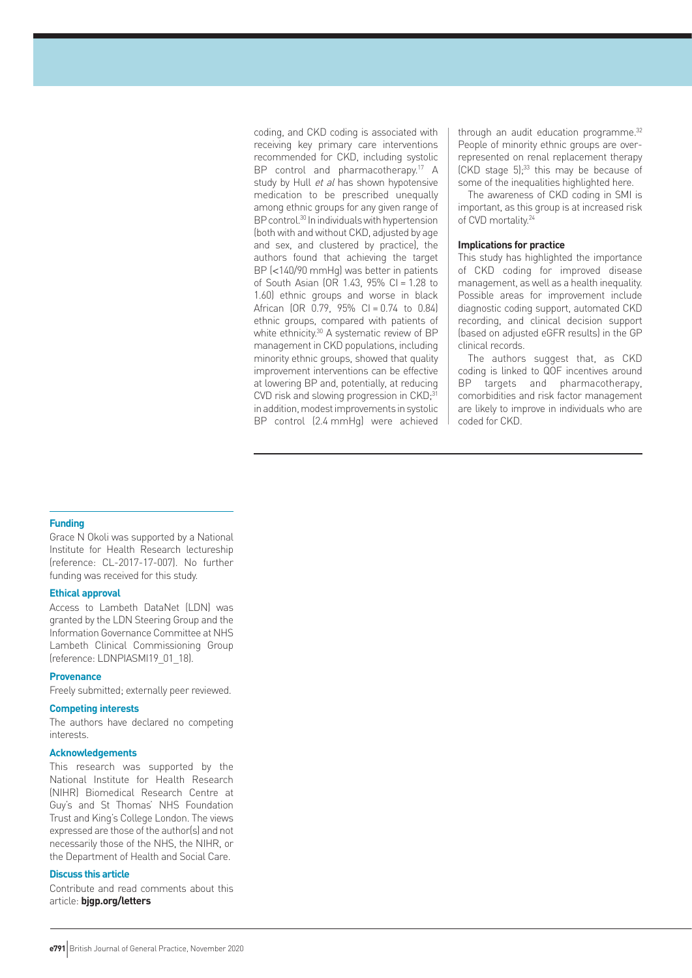coding, and CKD coding is associated with receiving key primary care interventions recommended for CKD, including systolic BP control and pharmacotherapy.<sup>17</sup> A study by Hull et al has shown hypotensive medication to be prescribed unequally among ethnic groups for any given range of BP control.30 In individuals with hypertension (both with and without CKD, adjusted by age and sex, and clustered by practice), the authors found that achieving the target BP (<140/90 mmHg) was better in patients of South Asian (OR 1.43, 95% CI = 1.28 to 1.60) ethnic groups and worse in black African  $[OR \ 0.79, 95\% \ CL = 0.74$  to  $0.84]$ ethnic groups, compared with patients of white ethnicity.<sup>30</sup> A systematic review of BP management in CKD populations, including minority ethnic groups, showed that quality improvement interventions can be effective at lowering BP and, potentially, at reducing CVD risk and slowing progression in CKD;<sup>31</sup> in addition, modest improvements in systolic BP control (2.4 mmHg) were achieved through an audit education programme.<sup>32</sup> People of minority ethnic groups are overrepresented on renal replacement therapy (CKD stage 5);33 this may be because of some of the inequalities highlighted here.

The awareness of CKD coding in SMI is important, as this group is at increased risk of CVD mortality.<sup>24</sup>

#### **Implications for practice**

This study has highlighted the importance of CKD coding for improved disease management, as well as a health inequality. Possible areas for improvement include diagnostic coding support, automated CKD recording, and clinical decision support (based on adjusted eGFR results) in the GP clinical records.

The authors suggest that, as CKD coding is linked to QOF incentives around BP targets and pharmacotherapy, comorbidities and risk factor management are likely to improve in individuals who are coded for CKD.

#### **Funding**

Grace N Okoli was supported by a National Institute for Health Research lectureship (reference: CL-2017-17-007). No further funding was received for this study.

#### **Ethical approval**

Access to Lambeth DataNet (LDN) was granted by the LDN Steering Group and the Information Governance Committee at NHS Lambeth Clinical Commissioning Group (reference: LDNPIASMI19\_01\_18).

#### **Provenance**

Freely submitted; externally peer reviewed.

#### **Competing interests**

The authors have declared no competing interests.

#### **Acknowledgements**

This research was supported by the National Institute for Health Research (NIHR) Biomedical Research Centre at Guy's and St Thomas' NHS Foundation Trust and King's College London. The views expressed are those of the author(s) and not necessarily those of the NHS, the NIHR, or the Department of Health and Social Care.

### **Discuss this article**

Contribute and read comments about this article: **bjgp.org/letters**